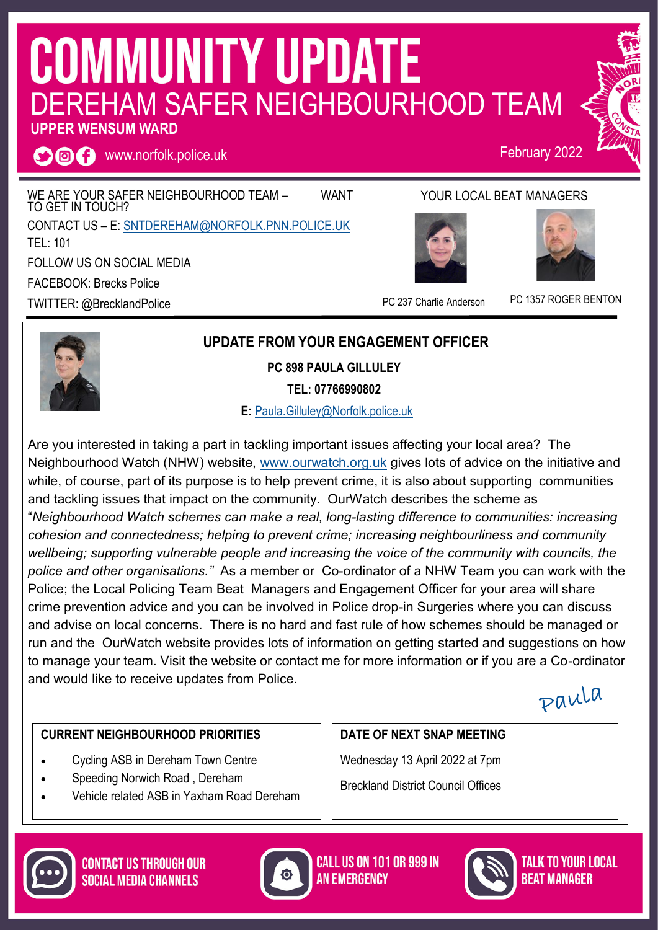# **COMMUNITY UPDATE** DEREHAM SAFER NEIGHBOURHOOD TEAM

#### **UPPER WENSUM WARD**

**O回日** www.norfolk.police.uk

WE ARE YOUR SAFER NEIGHBOURHOOD TEAM - WANT TO GET IN TOUCH? CONTACT US – E: [SNTDEREHAM@NORFOLK.PNN.POLICE.UK](mailto:SNTDEREHAM@NORFOLK.PNN.POLICE.UK) TEL: 101 FOLLOW US ON SOCIAL MEDIA FACEBOOK: Brecks Police TWITTER: @BrecklandPolice

### YOUR LOCAL BEAT MANAGERS

February 2022





PC 237 Charlie Anderson PC 1357 ROGER BENTON



#### **UPDATE FROM YOUR ENGAGEMENT OFFICER**

**PC 898 PAULA GILLULEY**

**TEL: 07766990802**

 **E:** [Paula.Gilluley@Norfolk.police.uk](mailto:Paula.Gilluley@Norfolk.pnn.police.uk)

Are you interested in taking a part in tackling important issues affecting your local area? The Neighbourhood Watch (NHW) website, [www.ourwatch.org.uk](http://www.ourwatch.org.uk) gives lots of advice on the initiative and while, of course, part of its purpose is to help prevent crime, it is also about supporting communities and tackling issues that impact on the community. OurWatch describes the scheme as "*Neighbourhood Watch schemes can make a real, long-lasting difference to communities: increasing cohesion and connectedness; helping to prevent crime; increasing neighbourliness and community wellbeing; supporting vulnerable people and increasing the voice of the community with councils, the police and other organisations."* As a member or Co-ordinator of a NHW Team you can work with the Police; the Local Policing Team Beat Managers and Engagement Officer for your area will share crime prevention advice and you can be involved in Police drop-in Surgeries where you can discuss and advise on local concerns. There is no hard and fast rule of how schemes should be managed or run and the OurWatch website provides lots of information on getting started and suggestions on how to manage your team. Visit the website or contact me for more information or if you are a Co-ordinator and would like to receive updates from Police.

Paula

#### **CURRENT NEIGHBOURHOOD PRIORITIES**

- Cycling ASB in Dereham Town Centre
- Speeding Norwich Road , Dereham
- Vehicle related ASB in Yaxham Road Dereham

#### **DATE OF NEXT SNAP MEETING**

Wednesday 13 April 2022 at 7pm Breckland District Council Offices





**CALL US ON 101 OR 999 IN AN EMERGENCY** 



TALK TO YOUR LOCAL **BFAT MANAGER**